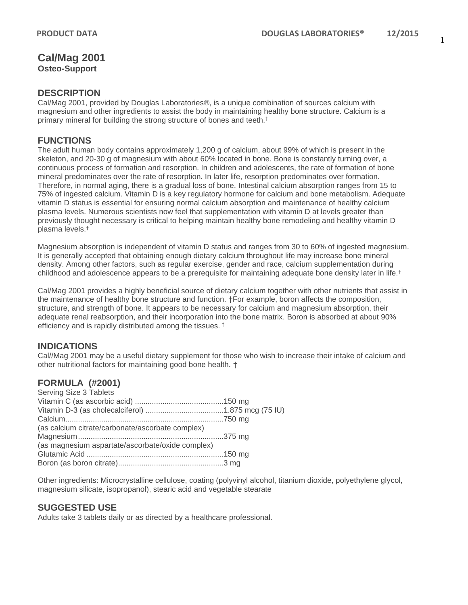# **Cal/Mag 2001 Osteo-Support**

### **DESCRIPTION**

Cal/Mag 2001, provided by Douglas Laboratories®, is a unique combination of sources calcium with magnesium and other ingredients to assist the body in maintaining healthy bone structure. Calcium is a primary mineral for building the strong structure of bones and teeth.†

### **FUNCTIONS**

The adult human body contains approximately 1,200 g of calcium, about 99% of which is present in the skeleton, and 20-30 g of magnesium with about 60% located in bone. Bone is constantly turning over, a continuous process of formation and resorption. In children and adolescents, the rate of formation of bone mineral predominates over the rate of resorption. In later life, resorption predominates over formation. Therefore, in normal aging, there is a gradual loss of bone. Intestinal calcium absorption ranges from 15 to 75% of ingested calcium. Vitamin D is a key regulatory hormone for calcium and bone metabolism. Adequate vitamin D status is essential for ensuring normal calcium absorption and maintenance of healthy calcium plasma levels. Numerous scientists now feel that supplementation with vitamin D at levels greater than previously thought necessary is critical to helping maintain healthy bone remodeling and healthy vitamin D plasma levels.†

Magnesium absorption is independent of vitamin D status and ranges from 30 to 60% of ingested magnesium. It is generally accepted that obtaining enough dietary calcium throughout life may increase bone mineral density. Among other factors, such as regular exercise, gender and race, calcium supplementation during childhood and adolescence appears to be a prerequisite for maintaining adequate bone density later in life.†

Cal/Mag 2001 provides a highly beneficial source of dietary calcium together with other nutrients that assist in the maintenance of healthy bone structure and function. †For example, boron affects the composition, structure, and strength of bone. It appears to be necessary for calcium and magnesium absorption, their adequate renal reabsorption, and their incorporation into the bone matrix. Boron is absorbed at about 90% efficiency and is rapidly distributed among the tissues. †

# **INDICATIONS**

Cal//Mag 2001 may be a useful dietary supplement for those who wish to increase their intake of calcium and other nutritional factors for maintaining good bone health. †

# **FORMULA (#2001)**

| Serving Size 3 Tablets                           |  |
|--------------------------------------------------|--|
|                                                  |  |
|                                                  |  |
|                                                  |  |
| (as calcium citrate/carbonate/ascorbate complex) |  |
|                                                  |  |
| (as magnesium aspartate/ascorbate/oxide complex) |  |
|                                                  |  |
|                                                  |  |

Other ingredients: Microcrystalline cellulose, coating (polyvinyl alcohol, titanium dioxide, polyethylene glycol, magnesium silicate, isopropanol), stearic acid and vegetable stearate

### **SUGGESTED USE**

Adults take 3 tablets daily or as directed by a healthcare professional.